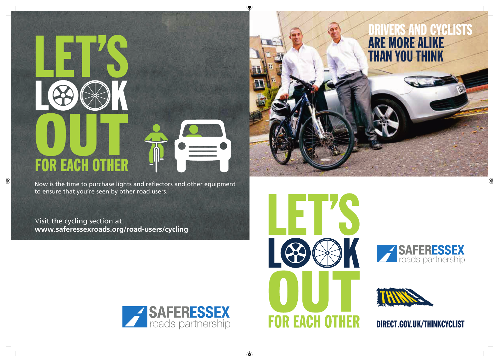# **FOR EACH OTHER**

Now is the time to purchase lights and reflectors and other equipment to ensure that you're seen by other road users.

Visit the cycling section at **www.saferessexroads.org/road-users/cycling**

 $\bigcirc$ 



 $\bullet$ 





€

DRIVERS AND CYCLISTS<br>ARE MORE ALIKE

**THAN YOU THINK** 



**DIRECT.GOV.UK/THINKCYCLIST**